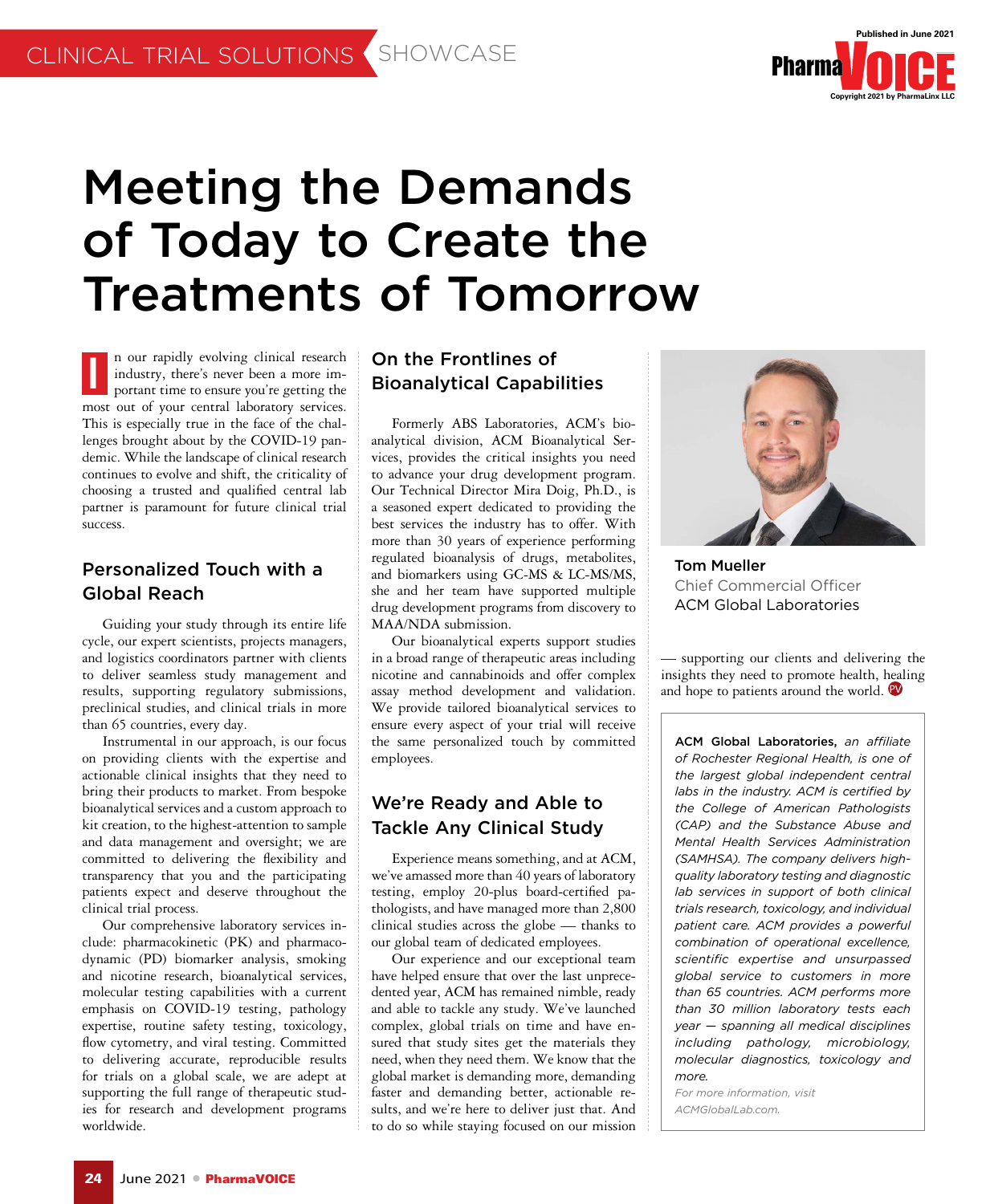

## Meeting the Demands of Today to Create the Treatments of Tomorrow

n our rapidly evolving clinical research industry, there's never been a more important time to ensure you're getting the most out of your central laboratory services. This is especially true in the face of the challenges brought about by the COVID-19 pandemic. While the landscape of clinical research continues to evolve and shift, the criticality of choosing a trusted and qualified central lab partner is paramount for future clinical trial success. I

#### Personalized Touch with a Global Reach

Guiding your study through its entire life cycle, our expert scientists, projects managers, and logistics coordinators partner with clients to deliver seamless study management and results, supporting regulatory submissions, preclinical studies, and clinical trials in more than 65 countries, every day.

Instrumental in our approach, is our focus on providing clients with the expertise and actionable clinical insights that they need to bring their products to market. From bespoke bioanalytical services and a custom approach to kit creation, to the highest-attention to sample and data management and oversight; we are committed to delivering the flexibility and transparency that you and the participating patients expect and deserve throughout the clinical trial process.

Our comprehensive laboratory services include: pharmacokinetic (PK) and pharmacodynamic (PD) biomarker analysis, smoking and nicotine research, bioanalytical services, molecular testing capabilities with a current emphasis on COVID-19 testing, pathology expertise, routine safety testing, toxicology, flow cytometry, and viral testing. Committed to delivering accurate, reproducible results for trials on a global scale, we are adept at supporting the full range of therapeutic studies for research and development programs worldwide.

#### On the Frontlines of Bioanalytical Capabilities

Formerly ABS Laboratories, ACM's bioanalytical division, ACM Bioanalytical Services, provides the critical insights you need to advance your drug development program. Our Technical Director Mira Doig, Ph.D., is a seasoned expert dedicated to providing the best services the industry has to offer. With more than 30 years of experience performing regulated bioanalysis of drugs, metabolites, and biomarkers using GC-MS & LC-MS/MS, she and her team have supported multiple drug development programs from discovery to MAA/NDA submission.

Our bioanalytical experts support studies in a broad range of therapeutic areas including nicotine and cannabinoids and offer complex assay method development and validation. We provide tailored bioanalytical services to ensure every aspect of your trial will receive the same personalized touch by committed employees.

### We're Ready and Able to Tackle Any Clinical Study

Experience means something, and at ACM, we've amassed more than 40 years of laboratory testing, employ 20-plus board-certified pathologists, and have managed more than 2,800 clinical studies across the globe — thanks to our global team of dedicated employees.

Our experience and our exceptional team have helped ensure that over the last unprecedented year, ACM has remained nimble, ready and able to tackle any study. We've launched complex, global trials on time and have ensured that study sites get the materials they need, when they need them. We know that the global market is demanding more, demanding faster and demanding better, actionable results, and we're here to deliver just that. And to do so while staying focused on our mission



Tom Mueller Chief Commercial Officer ACM Global Laboratories

— supporting our clients and delivering the insights they need to promote health, healing and hope to patients around the world.  $\blacksquare$ 

ACM Global Laboratories, *an affiliate of Rochester Regional Health, is one of the largest global independent central labs in the industry. ACM is certified by the College of American Pathologists (CAP) and the Substance Abuse and Mental Health Services Administration (SAMHSA). The company delivers highquality laboratory testing and diagnostic lab services in support of both clinical trials research, toxicology, and individual patient care. ACM provides a powerful combination of operational excellence, scientific expertise and unsurpassed global service to customers in more than 65 countries. ACM performs more than 30 million laboratory tests each year — spanning all medical disciplines including pathology, microbiology, molecular diagnostics, toxicology and more.* 

*For more information, visit ACMGlobalLab.com.*